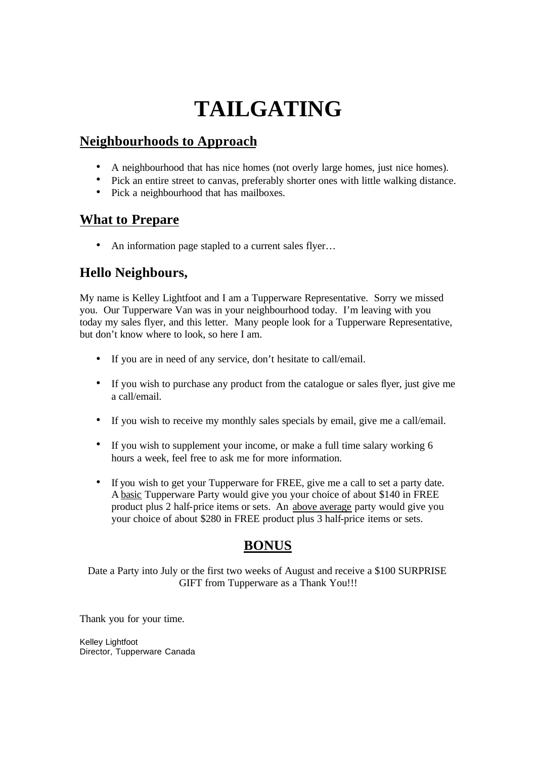# **TAILGATING**

# **Neighbourhoods to Approach**

- A neighbourhood that has nice homes (not overly large homes, just nice homes).
- Pick an entire street to canvas, preferably shorter ones with little walking distance.
- Pick a neighbourhood that has mailboxes.

## **What to Prepare**

• An information page stapled to a current sales flyer...

## **Hello Neighbours,**

My name is Kelley Lightfoot and I am a Tupperware Representative. Sorry we missed you. Our Tupperware Van was in your neighbourhood today. I'm leaving with you today my sales flyer, and this letter. Many people look for a Tupperware Representative, but don't know where to look, so here I am.

- If you are in need of any service, don't hesitate to call/email.
- If you wish to purchase any product from the catalogue or sales flyer, just give me a call/email.
- If you wish to receive my monthly sales specials by email, give me a call/email.
- If you wish to supplement your income, or make a full time salary working 6 hours a week, feel free to ask me for more information.
- If you wish to get your Tupperware for FREE, give me a call to set a party date. A basic Tupperware Party would give you your choice of about \$140 in FREE product plus 2 half-price items or sets. An above average party would give you your choice of about \$280 in FREE product plus 3 half-price items or sets.

#### **BONUS**

Date a Party into July or the first two weeks of August and receive a \$100 SURPRISE GIFT from Tupperware as a Thank You!!!

Thank you for your time.

Kelley Lightfoot Director, Tupperware Canada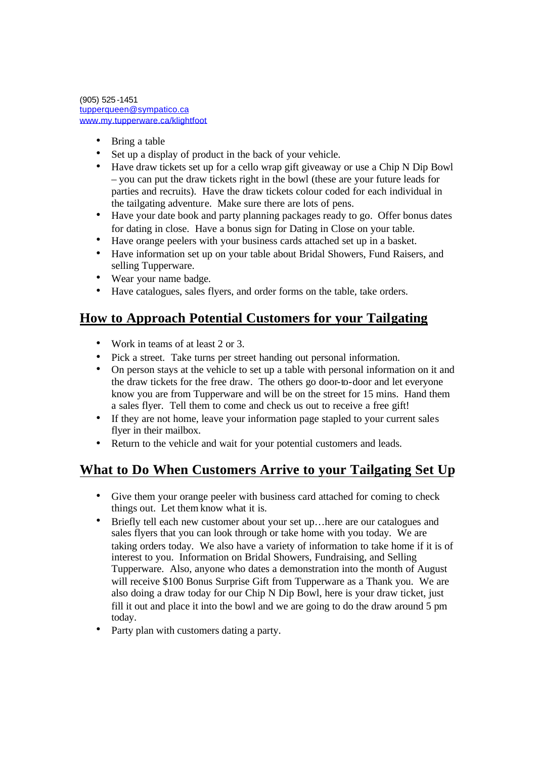(905) 525 -1451 tupperqueen@sympatico.ca www.my.tupperware.ca/klightfoot

- Bring a table
- Set up a display of product in the back of your vehicle.
- Have draw tickets set up for a cello wrap gift giveaway or use a Chip N Dip Bowl – you can put the draw tickets right in the bowl (these are your future leads for parties and recruits). Have the draw tickets colour coded for each individual in the tailgating adventure. Make sure there are lots of pens.
- Have your date book and party planning packages ready to go. Offer bonus dates for dating in close. Have a bonus sign for Dating in Close on your table.
- Have orange peelers with your business cards attached set up in a basket.
- Have information set up on your table about Bridal Showers, Fund Raisers, and selling Tupperware.
- Wear your name badge.
- Have catalogues, sales flyers, and order forms on the table, take orders.

## **How to Approach Potential Customers for your Tailgating**

- Work in teams of at least 2 or 3.
- Pick a street. Take turns per street handing out personal information.
- On person stays at the vehicle to set up a table with personal information on it and the draw tickets for the free draw. The others go door-to-door and let everyone know you are from Tupperware and will be on the street for 15 mins. Hand them a sales flyer. Tell them to come and check us out to receive a free gift!
- If they are not home, leave your information page stapled to your current sales flyer in their mailbox.
- Return to the vehicle and wait for your potential customers and leads.

## **What to Do When Customers Arrive to your Tailgating Set Up**

- Give them your orange peeler with business card attached for coming to check things out. Let them know what it is.
- Briefly tell each new customer about your set up…here are our catalogues and sales flyers that you can look through or take home with you today. We are taking orders today. We also have a variety of information to take home if it is of interest to you. Information on Bridal Showers, Fundraising, and Selling Tupperware. Also, anyone who dates a demonstration into the month of August will receive \$100 Bonus Surprise Gift from Tupperware as a Thank you. We are also doing a draw today for our Chip N Dip Bowl, here is your draw ticket, just fill it out and place it into the bowl and we are going to do the draw around 5 pm today.
- Party plan with customers dating a party.